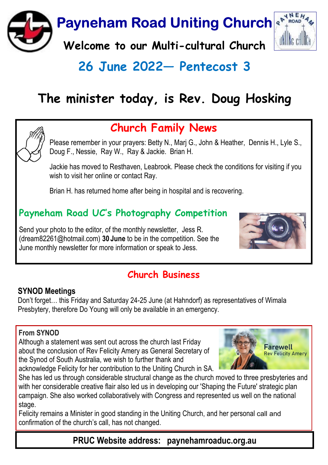

# 26 June 2022 - Pentecost 3

# The minister today, is Rev. Doug Hosking



## Church Family News

Please remember in your prayers: Betty N., Marj G., John & Heather, Dennis H., Lyle S., Doug F., Nessie, Ray W., Ray & Jackie. Brian H.

Jackie has moved to Resthaven, Leabrook. Please check the conditions for visiting if you wish to visit her online or contact Ray.

Brian H. has returned home after being in hospital and is recovering.

## Payneham Road UC's Photography Competition

Send your photo to the editor, of the monthly newsletter, Jess R. (dream82261@hotmail.com) 30 June to be in the competition. See the June monthly newsletter for more information or speak to Jess.



### Church Business

#### SYNOD Meetings

Don't forget… this Friday and Saturday 24-25 June (at Hahndorf) as representatives of Wimala Presbytery, therefore Do Young will only be available in an emergency.

#### From SYNOD

Although a statement was sent out across the church last Friday about the conclusion of Rev Felicity Amery as General Secretary of the Synod of South Australia, we wish to further thank and acknowledge Felicity for her contribution to the Uniting Church in SA.



She has led us through considerable structural change as the church moved to three presbyteries and with her considerable creative flair also led us in developing our 'Shaping the Future' strategic plan campaign. She also worked collaboratively with Congress and represented us well on the national stage.

Felicity remains a Minister in good standing in the Uniting Church, and her personal call and confirmation of the church's call, has not changed.

PRUC Website address: paynehamroaduc.org.au